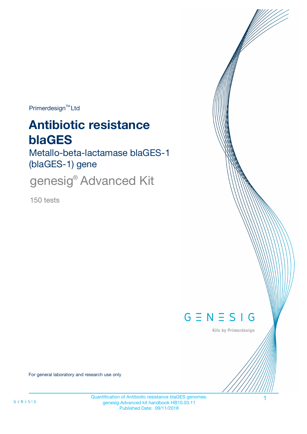$Primerdesign^{\text{TM}}$ Ltd

# **Antibiotic resistance blaGES**

Metallo-beta-lactamase blaGES-1 (blaGES-1) gene

genesig® Advanced Kit

150 tests



Kits by Primerdesign

For general laboratory and research use only

Quantification of Antibiotic resistance blaGES genomes. 1 genesig Advanced kit handbook HB10.03.11 Published Date: 09/11/2018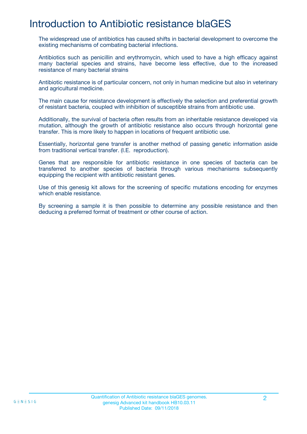## Introduction to Antibiotic resistance blaGES

The widespread use of antibiotics has caused shifts in bacterial development to overcome the existing mechanisms of combating bacterial infections.

Antibiotics such as penicillin and erythromycin, which used to have a high efficacy against many bacterial species and strains, have become less effective, due to the increased resistance of many bacterial strains

Antibiotic resistance is of particular concern, not only in human medicine but also in veterinary and agricultural medicine.

The main cause for resistance development is effectively the selection and preferential growth of resistant bacteria, coupled with inhibition of susceptible strains from antibiotic use.

Additionally, the survival of bacteria often results from an inheritable resistance developed via mutation, although the growth of antibiotic resistance also occurs through horizontal gene transfer. This is more likely to happen in locations of frequent antibiotic use.

Essentially, horizontal gene transfer is another method of passing genetic information aside from traditional vertical transfer. (I.E. reproduction).

Genes that are responsible for antibiotic resistance in one species of bacteria can be transferred to another species of bacteria through various mechanisms subsequently equipping the recipient with antibiotic resistant genes.

Use of this genesig kit allows for the screening of specific mutations encoding for enzymes which enable resistance.

By screening a sample it is then possible to determine any possible resistance and then deducing a preferred format of treatment or other course of action.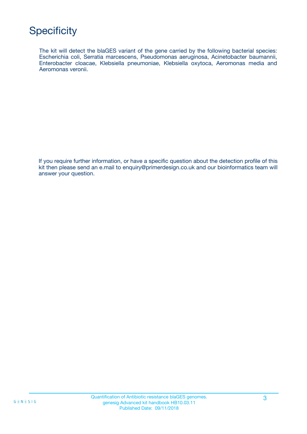## **Specificity**

The kit will detect the blaGES variant of the gene carried by the following bacterial species: Escherichia coli, Serratia marcescens, Pseudomonas aeruginosa, Acinetobacter baumannii, Enterobacter cloacae, Klebsiella pneumoniae, Klebsiella oxytoca, Aeromonas media and Aeromonas veronii.

If you require further information, or have a specific question about the detection profile of this kit then please send an e.mail to enquiry@primerdesign.co.uk and our bioinformatics team will answer your question.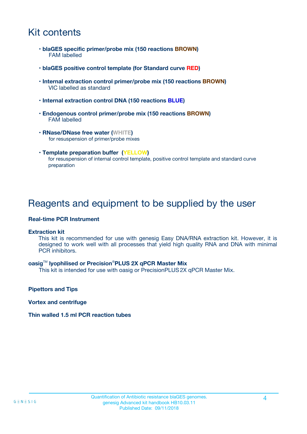## Kit contents

- **blaGES specific primer/probe mix (150 reactions BROWN)** FAM labelled
- **blaGES positive control template (for Standard curve RED)**
- **Internal extraction control primer/probe mix (150 reactions BROWN)** VIC labelled as standard
- **Internal extraction control DNA (150 reactions BLUE)**
- **Endogenous control primer/probe mix (150 reactions BROWN)** FAM labelled
- **RNase/DNase free water (WHITE)** for resuspension of primer/probe mixes
- **Template preparation buffer (YELLOW)** for resuspension of internal control template, positive control template and standard curve preparation

### Reagents and equipment to be supplied by the user

#### **Real-time PCR Instrument**

#### **Extraction kit**

This kit is recommended for use with genesig Easy DNA/RNA extraction kit. However, it is designed to work well with all processes that yield high quality RNA and DNA with minimal PCR inhibitors.

#### **oasig**TM **lyophilised or Precision**®**PLUS 2X qPCR Master Mix**

This kit is intended for use with oasig or PrecisionPLUS2X qPCR Master Mix.

**Pipettors and Tips**

**Vortex and centrifuge**

#### **Thin walled 1.5 ml PCR reaction tubes**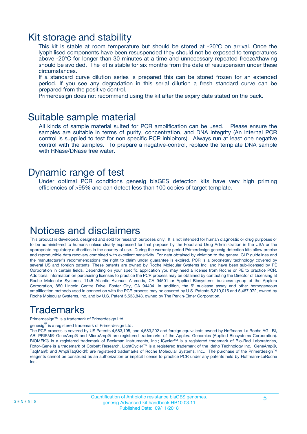### Kit storage and stability

This kit is stable at room temperature but should be stored at -20ºC on arrival. Once the lyophilised components have been resuspended they should not be exposed to temperatures above -20°C for longer than 30 minutes at a time and unnecessary repeated freeze/thawing should be avoided. The kit is stable for six months from the date of resuspension under these circumstances.

If a standard curve dilution series is prepared this can be stored frozen for an extended period. If you see any degradation in this serial dilution a fresh standard curve can be prepared from the positive control.

Primerdesign does not recommend using the kit after the expiry date stated on the pack.

### Suitable sample material

All kinds of sample material suited for PCR amplification can be used. Please ensure the samples are suitable in terms of purity, concentration, and DNA integrity (An internal PCR control is supplied to test for non specific PCR inhibitors). Always run at least one negative control with the samples. To prepare a negative-control, replace the template DNA sample with RNase/DNase free water.

### Dynamic range of test

Under optimal PCR conditions genesig blaGES detection kits have very high priming efficiencies of >95% and can detect less than 100 copies of target template.

### Notices and disclaimers

This product is developed, designed and sold for research purposes only. It is not intended for human diagnostic or drug purposes or to be administered to humans unless clearly expressed for that purpose by the Food and Drug Administration in the USA or the appropriate regulatory authorities in the country of use. During the warranty period Primerdesign genesig detection kits allow precise and reproducible data recovery combined with excellent sensitivity. For data obtained by violation to the general GLP guidelines and the manufacturer's recommendations the right to claim under guarantee is expired. PCR is a proprietary technology covered by several US and foreign patents. These patents are owned by Roche Molecular Systems Inc. and have been sub-licensed by PE Corporation in certain fields. Depending on your specific application you may need a license from Roche or PE to practice PCR. Additional information on purchasing licenses to practice the PCR process may be obtained by contacting the Director of Licensing at Roche Molecular Systems, 1145 Atlantic Avenue, Alameda, CA 94501 or Applied Biosystems business group of the Applera Corporation, 850 Lincoln Centre Drive, Foster City, CA 94404. In addition, the 5' nuclease assay and other homogeneous amplification methods used in connection with the PCR process may be covered by U.S. Patents 5,210,015 and 5,487,972, owned by Roche Molecular Systems, Inc, and by U.S. Patent 5,538,848, owned by The Perkin-Elmer Corporation.

## Trademarks

Primerdesign™ is a trademark of Primerdesign Ltd.

genesig $^\circledR$  is a registered trademark of Primerdesign Ltd.

The PCR process is covered by US Patents 4,683,195, and 4,683,202 and foreign equivalents owned by Hoffmann-La Roche AG. BI, ABI PRISM® GeneAmp® and MicroAmp® are registered trademarks of the Applera Genomics (Applied Biosystems Corporation). BIOMEK® is a registered trademark of Beckman Instruments, Inc.; iCycler™ is a registered trademark of Bio-Rad Laboratories, Rotor-Gene is a trademark of Corbett Research. LightCycler™ is a registered trademark of the Idaho Technology Inc. GeneAmp®, TaqMan® and AmpliTaqGold® are registered trademarks of Roche Molecular Systems, Inc., The purchase of the Primerdesign™ reagents cannot be construed as an authorization or implicit license to practice PCR under any patents held by Hoffmann-LaRoche Inc.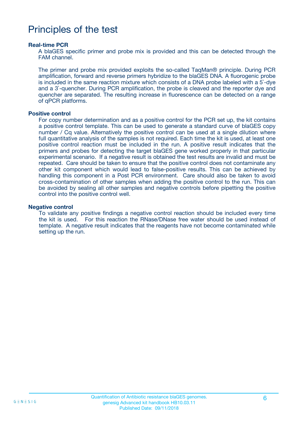## Principles of the test

#### **Real-time PCR**

A blaGES specific primer and probe mix is provided and this can be detected through the FAM channel.

The primer and probe mix provided exploits the so-called TaqMan® principle. During PCR amplification, forward and reverse primers hybridize to the blaGES DNA. A fluorogenic probe is included in the same reaction mixture which consists of a DNA probe labeled with a 5`-dye and a 3`-quencher. During PCR amplification, the probe is cleaved and the reporter dye and quencher are separated. The resulting increase in fluorescence can be detected on a range of qPCR platforms.

#### **Positive control**

For copy number determination and as a positive control for the PCR set up, the kit contains a positive control template. This can be used to generate a standard curve of blaGES copy number / Cq value. Alternatively the positive control can be used at a single dilution where full quantitative analysis of the samples is not required. Each time the kit is used, at least one positive control reaction must be included in the run. A positive result indicates that the primers and probes for detecting the target blaGES gene worked properly in that particular experimental scenario. If a negative result is obtained the test results are invalid and must be repeated. Care should be taken to ensure that the positive control does not contaminate any other kit component which would lead to false-positive results. This can be achieved by handling this component in a Post PCR environment. Care should also be taken to avoid cross-contamination of other samples when adding the positive control to the run. This can be avoided by sealing all other samples and negative controls before pipetting the positive control into the positive control well.

#### **Negative control**

To validate any positive findings a negative control reaction should be included every time the kit is used. For this reaction the RNase/DNase free water should be used instead of template. A negative result indicates that the reagents have not become contaminated while setting up the run.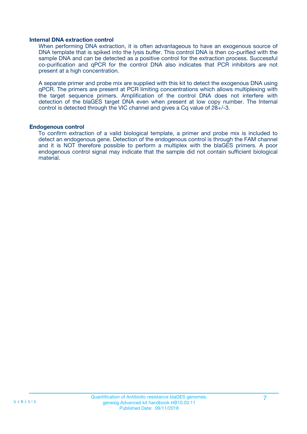#### **Internal DNA extraction control**

When performing DNA extraction, it is often advantageous to have an exogenous source of DNA template that is spiked into the lysis buffer. This control DNA is then co-purified with the sample DNA and can be detected as a positive control for the extraction process. Successful co-purification and qPCR for the control DNA also indicates that PCR inhibitors are not present at a high concentration.

A separate primer and probe mix are supplied with this kit to detect the exogenous DNA using qPCR. The primers are present at PCR limiting concentrations which allows multiplexing with the target sequence primers. Amplification of the control DNA does not interfere with detection of the blaGES target DNA even when present at low copy number. The Internal control is detected through the VIC channel and gives a Cq value of 28+/-3.

#### **Endogenous control**

To confirm extraction of a valid biological template, a primer and probe mix is included to detect an endogenous gene. Detection of the endogenous control is through the FAM channel and it is NOT therefore possible to perform a multiplex with the blaGES primers. A poor endogenous control signal may indicate that the sample did not contain sufficient biological material.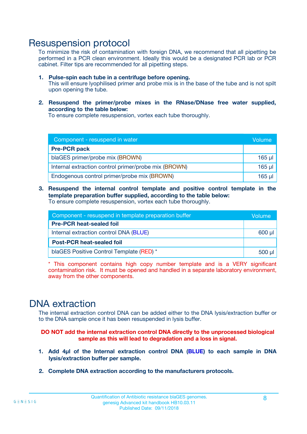### Resuspension protocol

To minimize the risk of contamination with foreign DNA, we recommend that all pipetting be performed in a PCR clean environment. Ideally this would be a designated PCR lab or PCR cabinet. Filter tips are recommended for all pipetting steps.

- **1. Pulse-spin each tube in a centrifuge before opening.** This will ensure lyophilised primer and probe mix is in the base of the tube and is not spilt upon opening the tube.
- **2. Resuspend the primer/probe mixes in the RNase/DNase free water supplied, according to the table below:**

To ensure complete resuspension, vortex each tube thoroughly.

| Component - resuspend in water                       |          |  |
|------------------------------------------------------|----------|--|
| <b>Pre-PCR pack</b>                                  |          |  |
| blaGES primer/probe mix (BROWN)                      | $165$ µl |  |
| Internal extraction control primer/probe mix (BROWN) | $165$ µl |  |
| Endogenous control primer/probe mix (BROWN)          | 165 µl   |  |

**3. Resuspend the internal control template and positive control template in the template preparation buffer supplied, according to the table below:** To ensure complete resuspension, vortex each tube thoroughly.

| Component - resuspend in template preparation buffer |          |  |  |
|------------------------------------------------------|----------|--|--|
| <b>Pre-PCR heat-sealed foil</b>                      |          |  |  |
| Internal extraction control DNA (BLUE)               |          |  |  |
| <b>Post-PCR heat-sealed foil</b>                     |          |  |  |
| blaGES Positive Control Template (RED) *             | $500$ µl |  |  |

\* This component contains high copy number template and is a VERY significant contamination risk. It must be opened and handled in a separate laboratory environment, away from the other components.

### DNA extraction

The internal extraction control DNA can be added either to the DNA lysis/extraction buffer or to the DNA sample once it has been resuspended in lysis buffer.

**DO NOT add the internal extraction control DNA directly to the unprocessed biological sample as this will lead to degradation and a loss in signal.**

- **1. Add 4µl of the Internal extraction control DNA (BLUE) to each sample in DNA lysis/extraction buffer per sample.**
- **2. Complete DNA extraction according to the manufacturers protocols.**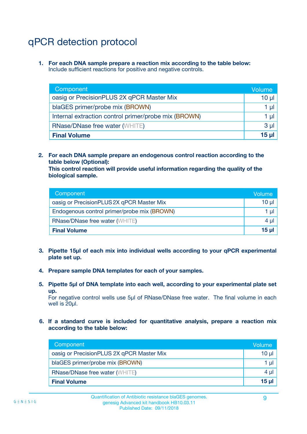## qPCR detection protocol

**1. For each DNA sample prepare a reaction mix according to the table below:** Include sufficient reactions for positive and negative controls.

| Component                                            | Volume   |
|------------------------------------------------------|----------|
| oasig or PrecisionPLUS 2X qPCR Master Mix            | $10 \mu$ |
| blaGES primer/probe mix (BROWN)                      | 1 µI     |
| Internal extraction control primer/probe mix (BROWN) | 1 µl     |
| <b>RNase/DNase free water (WHITE)</b>                | $3 \mu$  |
| <b>Final Volume</b>                                  | 15 µl    |

**2. For each DNA sample prepare an endogenous control reaction according to the table below (Optional):**

**This control reaction will provide useful information regarding the quality of the biological sample.**

| Component                                   | Volume   |
|---------------------------------------------|----------|
| oasig or PrecisionPLUS 2X qPCR Master Mix   | $10 \mu$ |
| Endogenous control primer/probe mix (BROWN) | 1 µI     |
| <b>RNase/DNase free water (WHITE)</b>       | $4 \mu$  |
| <b>Final Volume</b>                         | 15 µl    |

- **3. Pipette 15µl of each mix into individual wells according to your qPCR experimental plate set up.**
- **4. Prepare sample DNA templates for each of your samples.**
- **5. Pipette 5µl of DNA template into each well, according to your experimental plate set up.**

For negative control wells use 5µl of RNase/DNase free water. The final volume in each well is 20ul.

**6. If a standard curve is included for quantitative analysis, prepare a reaction mix according to the table below:**

| Component                                 | Volume          |
|-------------------------------------------|-----------------|
| oasig or PrecisionPLUS 2X qPCR Master Mix | 10 µl           |
| blaGES primer/probe mix (BROWN)           |                 |
| <b>RNase/DNase free water (WHITE)</b>     | $4 \mu$         |
| <b>Final Volume</b>                       | 15 <sub>µ</sub> |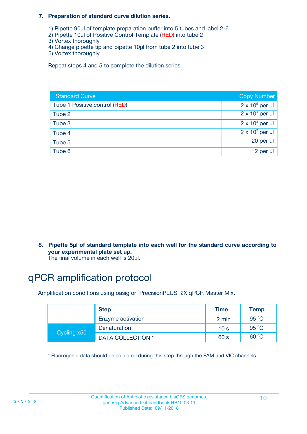#### **7. Preparation of standard curve dilution series.**

- 1) Pipette 90µl of template preparation buffer into 5 tubes and label 2-6
- 2) Pipette 10µl of Positive Control Template (RED) into tube 2
- 3) Vortex thoroughly
- 4) Change pipette tip and pipette 10µl from tube 2 into tube 3
- 5) Vortex thoroughly

Repeat steps 4 and 5 to complete the dilution series

| <b>Standard Curve</b>         | <b>Copy Number</b>     |
|-------------------------------|------------------------|
| Tube 1 Positive control (RED) | $2 \times 10^5$ per µl |
| Tube 2                        | $2 \times 10^4$ per µl |
| Tube 3                        | $2 \times 10^3$ per µl |
| Tube 4                        | $2 \times 10^2$ per µl |
| Tube 5                        | 20 per µl              |
| Tube 6                        | 2 per µl               |

**8. Pipette 5µl of standard template into each well for the standard curve according to your experimental plate set up.**

#### The final volume in each well is 20µl.

## qPCR amplification protocol

Amplification conditions using oasig or PrecisionPLUS 2X qPCR Master Mix.

|             | <b>Step</b>       | <b>Time</b>     | Temp    |
|-------------|-------------------|-----------------|---------|
|             | Enzyme activation | 2 min           | 95 °C   |
| Cycling x50 | Denaturation      | 10 <sub>s</sub> | 95 $°C$ |
|             | DATA COLLECTION * | 60 s            | 60 °C   |

\* Fluorogenic data should be collected during this step through the FAM and VIC channels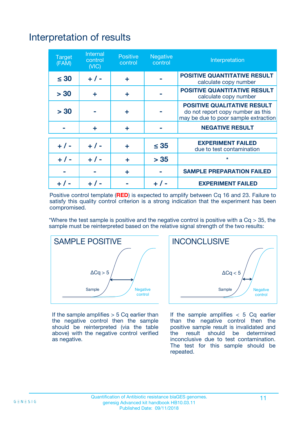## Interpretation of results

| <b>Target</b><br>(FAM) | <b>Internal</b><br>control<br>(NIC) | <b>Positive</b><br>control | <b>Negative</b><br>control | Interpretation                                                                                                  |
|------------------------|-------------------------------------|----------------------------|----------------------------|-----------------------------------------------------------------------------------------------------------------|
| $\leq 30$              | $+ 1 -$                             | ÷                          |                            | <b>POSITIVE QUANTITATIVE RESULT</b><br>calculate copy number                                                    |
| > 30                   | ٠                                   | ÷                          |                            | <b>POSITIVE QUANTITATIVE RESULT</b><br>calculate copy number                                                    |
| > 30                   |                                     | ÷                          |                            | <b>POSITIVE QUALITATIVE RESULT</b><br>do not report copy number as this<br>may be due to poor sample extraction |
|                        | ÷                                   | ÷                          |                            | <b>NEGATIVE RESULT</b>                                                                                          |
| $+ 1 -$                | $+ 1 -$                             | ÷                          | $\leq$ 35                  | <b>EXPERIMENT FAILED</b><br>due to test contamination                                                           |
| $+$ / -                | $+ 1 -$                             | ÷                          | > 35                       | $\star$                                                                                                         |
|                        |                                     | ÷                          |                            | <b>SAMPLE PREPARATION FAILED</b>                                                                                |
|                        |                                     |                            | $+$ /                      | <b>EXPERIMENT FAILED</b>                                                                                        |

Positive control template (**RED**) is expected to amplify between Cq 16 and 23. Failure to satisfy this quality control criterion is a strong indication that the experiment has been compromised.

\*Where the test sample is positive and the negative control is positive with a  $Ca > 35$ , the sample must be reinterpreted based on the relative signal strength of the two results:



If the sample amplifies  $> 5$  Cq earlier than the negative control then the sample should be reinterpreted (via the table above) with the negative control verified as negative.



If the sample amplifies  $< 5$  Cq earlier than the negative control then the positive sample result is invalidated and<br>the result should be determined  $the$  result should be inconclusive due to test contamination. The test for this sample should be repeated.